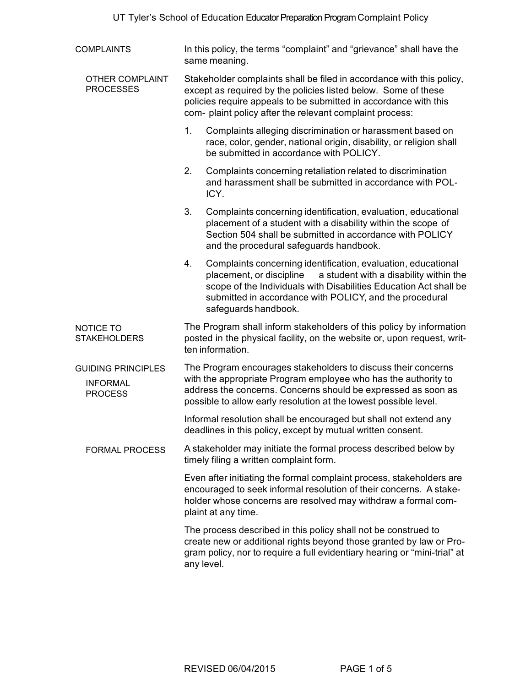| <b>COMPLAINTS</b>                                              | In this policy, the terms "complaint" and "grievance" shall have the<br>same meaning.                                                                                                                                                                                                             |
|----------------------------------------------------------------|---------------------------------------------------------------------------------------------------------------------------------------------------------------------------------------------------------------------------------------------------------------------------------------------------|
| <b>OTHER COMPLAINT</b><br><b>PROCESSES</b>                     | Stakeholder complaints shall be filed in accordance with this policy,<br>except as required by the policies listed below. Some of these<br>policies require appeals to be submitted in accordance with this<br>com- plaint policy after the relevant complaint process:                           |
|                                                                | 1.<br>Complaints alleging discrimination or harassment based on<br>race, color, gender, national origin, disability, or religion shall<br>be submitted in accordance with POLICY.                                                                                                                 |
|                                                                | 2.<br>Complaints concerning retaliation related to discrimination<br>and harassment shall be submitted in accordance with POL-<br>ICY.                                                                                                                                                            |
|                                                                | 3.<br>Complaints concerning identification, evaluation, educational<br>placement of a student with a disability within the scope of<br>Section 504 shall be submitted in accordance with POLICY<br>and the procedural safeguards handbook.                                                        |
|                                                                | 4.<br>Complaints concerning identification, evaluation, educational<br>a student with a disability within the<br>placement, or discipline<br>scope of the Individuals with Disabilities Education Act shall be<br>submitted in accordance with POLICY, and the procedural<br>safeguards handbook. |
| NOTICE TO<br><b>STAKEHOLDERS</b>                               | The Program shall inform stakeholders of this policy by information<br>posted in the physical facility, on the website or, upon request, writ-<br>ten information.                                                                                                                                |
| <b>GUIDING PRINCIPLES</b><br><b>INFORMAL</b><br><b>PROCESS</b> | The Program encourages stakeholders to discuss their concerns<br>with the appropriate Program employee who has the authority to<br>address the concerns. Concerns should be expressed as soon as<br>possible to allow early resolution at the lowest possible level.                              |
|                                                                | Informal resolution shall be encouraged but shall not extend any<br>deadlines in this policy, except by mutual written consent.                                                                                                                                                                   |
| <b>FORMAL PROCESS</b>                                          | A stakeholder may initiate the formal process described below by<br>timely filing a written complaint form.                                                                                                                                                                                       |
|                                                                | Even after initiating the formal complaint process, stakeholders are<br>encouraged to seek informal resolution of their concerns. A stake-<br>holder whose concerns are resolved may withdraw a formal com-<br>plaint at any time.                                                                |
|                                                                | The process described in this policy shall not be construed to<br>create new or additional rights beyond those granted by law or Pro-<br>gram policy, nor to require a full evidentiary hearing or "mini-trial" at<br>any level.                                                                  |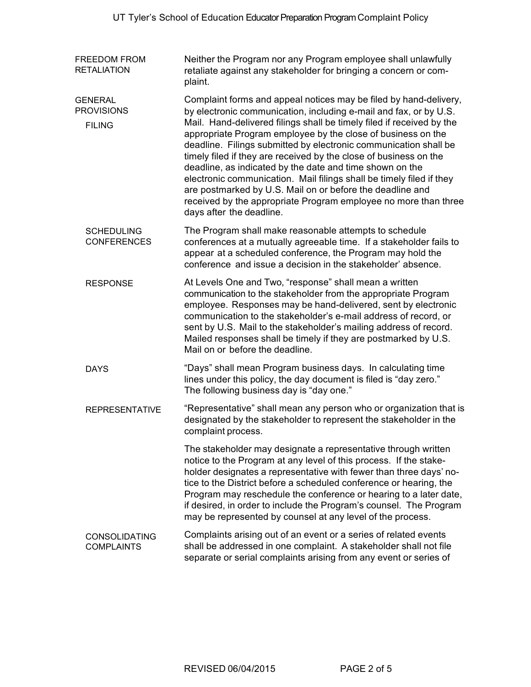FREEDOM FROM RETALIATION **GENERAL PROVISIONS** FILING SCHEDULING CONFERENCES RESPONSE DAYS REPRESENTATIVE CONSOLIDATING **COMPLAINTS** Neither the Program nor any Program employee shall unlawfully retaliate against any stakeholder for bringing a concern or complaint. Complaint forms and appeal notices may be filed by hand-delivery, by electronic communication, including e-mail and fax, or by U.S. Mail. Hand-delivered filings shall be timely filed if received by the appropriate Program employee by the close of business on the deadline. Filings submitted by electronic communication shall be timely filed if they are received by the close of business on the deadline, as indicated by the date and time shown on the electronic communication. Mail filings shall be timely filed if they are postmarked by U.S. Mail on or before the deadline and received by the appropriate Program employee no more than three days after the deadline. The Program shall make reasonable attempts to schedule conferences at a mutually agreeable time. If a stakeholder fails to appear at a scheduled conference, the Program may hold the conference and issue a decision in the stakeholder' absence. At Levels One and Two, "response" shall mean a written communication to the stakeholder from the appropriate Program employee. Responses may be hand-delivered, sent by electronic communication to the stakeholder's e-mail address of record, or sent by U.S. Mail to the stakeholder's mailing address of record. Mailed responses shall be timely if they are postmarked by U.S. Mail on or before the deadline. "Days" shall mean Program business days. In calculating time lines under this policy, the day document is filed is "day zero." The following business day is "day one." "Representative" shall mean any person who or organization that is designated by the stakeholder to represent the stakeholder in the complaint process. The stakeholder may designate a representative through written notice to the Program at any level of this process. If the stakeholder designates a representative with fewer than three days' notice to the District before a scheduled conference or hearing, the Program may reschedule the conference or hearing to a later date, if desired, in order to include the Program's counsel. The Program may be represented by counsel at any level of the process. Complaints arising out of an event or a series of related events shall be addressed in one complaint. A stakeholder shall not file separate or serial complaints arising from any event or series of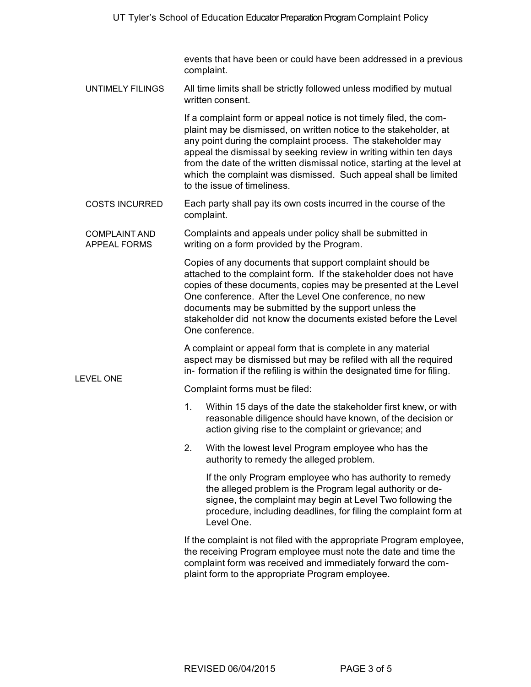events that have been or could have been addressed in a previous complaint.

UNTIMELY FILINGS All time limits shall be strictly followed unless modified by mutual written consent.

> If a complaint form or appeal notice is not timely filed, the complaint may be dismissed, on written notice to the stakeholder, at any point during the complaint process. The stakeholder may appeal the dismissal by seeking review in writing within ten days from the date of the written dismissal notice, starting at the level at which the complaint was dismissed. Such appeal shall be limited to the issue of timeliness.

- COSTS INCURRED Each party shall pay its own costs incurred in the course of the complaint.
- COMPLAINT AND APPEAL FORMS Complaints and appeals under policy shall be submitted in writing on a form provided by the Program.

Copies of any documents that support complaint should be attached to the complaint form. If the stakeholder does not have copies of these documents, copies may be presented at the Level One conference. After the Level One conference, no new documents may be submitted by the support unless the stakeholder did not know the documents existed before the Level One conference.

A complaint or appeal form that is complete in any material aspect may be dismissed but may be refiled with all the required in- formation if the refiling is within the designated time for filing.

Complaint forms must be filed:

LEVEL ONE

- 1. Within 15 days of the date the stakeholder first knew, or with reasonable diligence should have known, of the decision or action giving rise to the complaint or grievance; and
- 2. With the lowest level Program employee who has the authority to remedy the alleged problem.

If the only Program employee who has authority to remedy the alleged problem is the Program legal authority or designee, the complaint may begin at Level Two following the procedure, including deadlines, for filing the complaint form at Level One.

If the complaint is not filed with the appropriate Program employee, the receiving Program employee must note the date and time the complaint form was received and immediately forward the complaint form to the appropriate Program employee.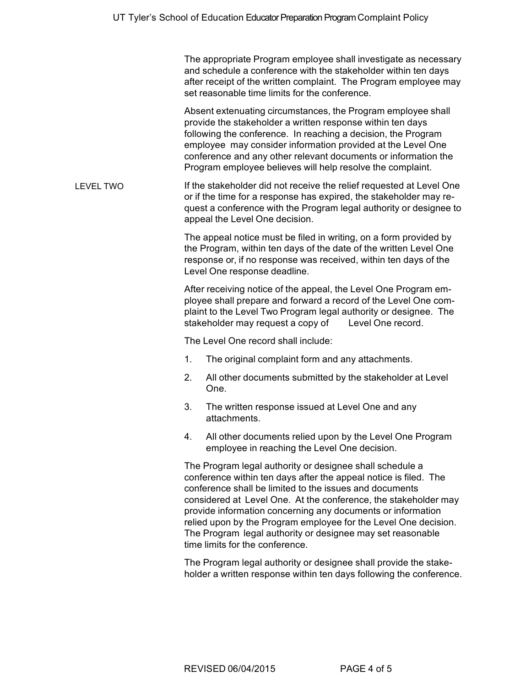The appropriate Program employee shall investigate as necessary and schedule a conference with the stakeholder within ten days after receipt of the written complaint. The Program employee may set reasonable time limits for the conference.

Absent extenuating circumstances, the Program employee shall provide the stakeholder a written response within ten days following the conference. In reaching a decision, the Program employee may consider information provided at the Level One conference and any other relevant documents or information the Program employee believes will help resolve the complaint.

LEVEL TWO If the stakeholder did not receive the relief requested at Level One or if the time for a response has expired, the stakeholder may request a conference with the Program legal authority or designee to appeal the Level One decision.

> The appeal notice must be filed in writing, on a form provided by the Program, within ten days of the date of the written Level One response or, if no response was received, within ten days of the Level One response deadline.

> After receiving notice of the appeal, the Level One Program employee shall prepare and forward a record of the Level One complaint to the Level Two Program legal authority or designee. The stakeholder may request a copy of Level One record.

The Level One record shall include:

- 1. The original complaint form and any attachments.
- 2. All other documents submitted by the stakeholder at Level One.
- 3. The written response issued at Level One and any attachments.
- 4. All other documents relied upon by the Level One Program employee in reaching the Level One decision.

The Program legal authority or designee shall schedule a conference within ten days after the appeal notice is filed. The conference shall be limited to the issues and documents considered at Level One. At the conference, the stakeholder may provide information concerning any documents or information relied upon by the Program employee for the Level One decision. The Program legal authority or designee may set reasonable time limits for the conference.

The Program legal authority or designee shall provide the stakeholder a written response within ten days following the conference.